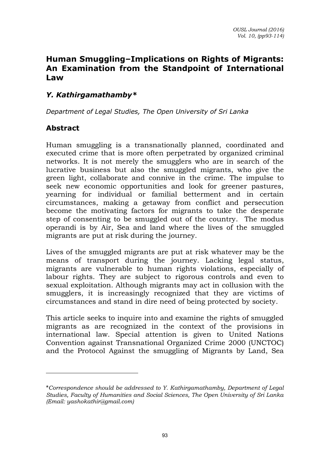# **Human Smuggling–Implications on Rights of Migrants: An Examination from the Standpoint of International Law**

## *Y. Kathirgamathamby\**

*Department of Legal Studies, The Open University of Sri Lanka* 

### **Abstract**

Human smuggling is a transnationally planned, coordinated and executed crime that is more often perpetrated by organized criminal networks. It is not merely the smugglers who are in search of the lucrative business but also the smuggled migrants, who give the green light, collaborate and connive in the crime. The impulse to seek new economic opportunities and look for greener pastures, yearning for individual or familial betterment and in certain circumstances, making a getaway from conflict and persecution become the motivating factors for migrants to take the desperate step of consenting to be smuggled out of the country. The modus operandi is by Air, Sea and land where the lives of the smuggled migrants are put at risk during the journey.

Lives of the smuggled migrants are put at risk whatever may be the means of transport during the journey. Lacking legal status, migrants are vulnerable to human rights violations, especially of labour rights. They are subject to rigorous controls and even to sexual exploitation. Although migrants may act in collusion with the smugglers, it is increasingly recognized that they are victims of circumstances and stand in dire need of being protected by society.

This article seeks to inquire into and examine the rights of smuggled migrants as are recognized in the context of the provisions in international law. Special attention is given to United Nations Convention against Transnational Organized Crime 2000 (UNCTOC) and the Protocol Against the smuggling of Migrants by Land, Sea

<sup>\*</sup>*Correspondence should be addressed to Y. Kathirgamathamby, Department of Legal Studies, Faculty of Humanities and Social Sciences, The Open University of Sri Lanka (Email: [yashokathir@gmail.com\)](mailto:yashokathir@gmail.com)*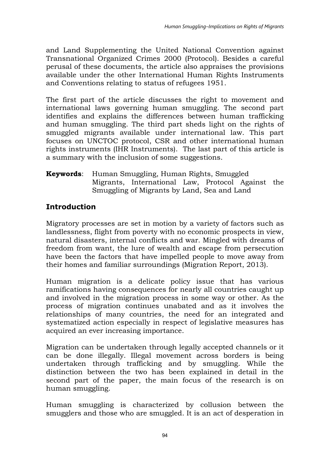and Land Supplementing the United National Convention against Transnational Organized Crimes 2000 (Protocol). Besides a careful perusal of these documents, the article also appraises the provisions available under the other International Human Rights Instruments and Conventions relating to status of refugees 1951.

The first part of the article discusses the right to movement and international laws governing human smuggling. The second part identifies and explains the differences between human trafficking and human smuggling. The third part sheds light on the rights of smuggled migrants available under international law. This part focuses on UNCTOC protocol, CSR and other international human rights instruments (IHR Instruments). The last part of this article is a summary with the inclusion of some suggestions.

### **Keywords**: Human Smuggling, Human Rights, Smuggled Migrants, International Law, Protocol Against the Smuggling of Migrants by Land, Sea and Land

# **Introduction**

Migratory processes are set in motion by a variety of factors such as landlessness, flight from poverty with no economic prospects in view, natural disasters, internal conflicts and war. Mingled with dreams of freedom from want, the lure of wealth and escape from persecution have been the factors that have impelled people to move away from their homes and familiar surroundings (Migration Report, 2013).

Human migration is a delicate policy issue that has various ramifications having consequences for nearly all countries caught up and involved in the migration process in some way or other. As the process of migration continues unabated and as it involves the relationships of many countries, the need for an integrated and systematized action especially in respect of legislative measures has acquired an ever increasing importance.

Migration can be undertaken through legally accepted channels or it can be done illegally. Illegal movement across borders is being undertaken through trafficking and by smuggling. While the distinction between the two has been explained in detail in the second part of the paper, the main focus of the research is on human smuggling.

Human smuggling is characterized by collusion between the smugglers and those who are smuggled. It is an act of desperation in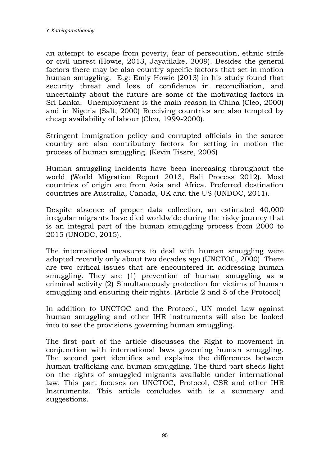an attempt to escape from poverty, fear of persecution, ethnic strife or civil unrest (Howie, 2013, Jayatilake, 2009). Besides the general factors there may be also country specific factors that set in motion human smuggling. E.g: Emly Howie (2013) in his study found that security threat and loss of confidence in reconciliation, and uncertainty about the future are some of the motivating factors in Sri Lanka. Unemployment is the main reason in China (Cleo, 2000) and in Nigeria (Salt, 2000) Receiving countries are also tempted by cheap availability of labour (Cleo, 1999-2000).

Stringent immigration policy and corrupted officials in the source country are also contributory factors for setting in motion the process of human smuggling. (Kevin Tissre, 2006)

Human smuggling incidents have been increasing throughout the world (World Migration Report 2013, Bali Process 2012). Most countries of origin are from Asia and Africa. Preferred destination countries are Australia, Canada, UK and the US (UNDOC, 2011).

Despite absence of proper data collection, an estimated 40,000 irregular migrants have died worldwide during the risky journey that is an integral part of the human smuggling process from 2000 to 2015 (UNODC, 2015).

The international measures to deal with human smuggling were adopted recently only about two decades ago (UNCTOC, 2000). There are two critical issues that are encountered in addressing human smuggling. They are (1) prevention of human smuggling as a criminal activity (2) Simultaneously protection for victims of human smuggling and ensuring their rights. (Article 2 and 5 of the Protocol)

In addition to UNCTOC and the Protocol, UN model Law against human smuggling and other IHR instruments will also be looked into to see the provisions governing human smuggling.

The first part of the article discusses the Right to movement in conjunction with international laws governing human smuggling. The second part identifies and explains the differences between human trafficking and human smuggling. The third part sheds light on the rights of smuggled migrants available under international law. This part focuses on UNCTOC, Protocol, CSR and other IHR Instruments. This article concludes with is a summary and suggestions.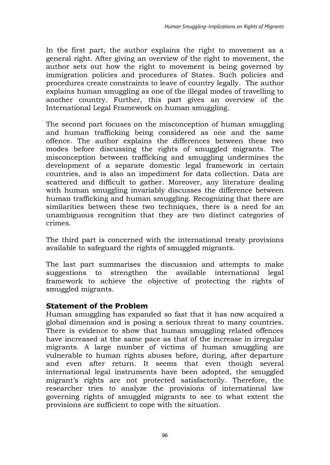In the first part, the author explains the right to movement as a general right. After giving an overview of the right to movement, the author sets out how the right to movement is being governed by immigration policies and procedures of States. Such policies and procedures create constraints to leave of country legally. The author explains human smuggling as one of the illegal modes of travelling to another country. Further, this part gives an overview of the International Legal Framework on human smuggling.

The second part focuses on the misconception of human smuggling and human trafficking being considered as one and the same offence. The author explains the differences between these two modes before discussing the rights of smuggled migrants. The misconception between trafficking and smuggling undermines the development of a separate domestic legal framework in certain countries, and is also an impediment for data collection. Data are scattered and difficult to gather. Moreover, any literature dealing with human smuggling invariably discusses the difference between human trafficking and human smuggling. Recognizing that there are similarities between these two techniques, there is a need for an unambiguous recognition that they are two distinct categories of crimes.

The third part is concerned with the international treaty provisions available to safeguard the rights of smuggled migrants.

The last part summarises the discussion and attempts to make suggestions to strengthen the available international legal framework to achieve the objective of protecting the rights of smuggled migrants.

### **Statement of the Problem**

Human smuggling has expanded so fast that it has now acquired a global dimension and is posing a serious threat to many countries. There is evidence to show that human smuggling related offences have increased at the same pace as that of the increase in irregular migrants. A large number of victims of human smuggling are vulnerable to human rights abuses before, during, after departure and even after return. It seems that even though several international legal instruments have been adopted, the smuggled migrant"s rights are not protected satisfactorily. Therefore, the researcher tries to analyze the provisions of international law governing rights of smuggled migrants to see to what extent the provisions are sufficient to cope with the situation.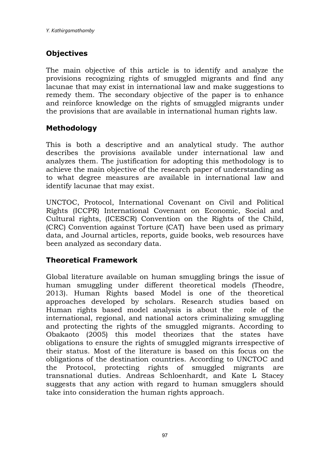# **Objectives**

The main objective of this article is to identify and analyze the provisions recognizing rights of smuggled migrants and find any lacunae that may exist in international law and make suggestions to remedy them. The secondary objective of the paper is to enhance and reinforce knowledge on the rights of smuggled migrants under the provisions that are available in international human rights law.

## **Methodology**

This is both a descriptive and an analytical study. The author describes the provisions available under international law and analyzes them. The justification for adopting this methodology is to achieve the main objective of the research paper of understanding as to what degree measures are available in international law and identify lacunae that may exist.

UNCTOC, Protocol, International Covenant on Civil and Political Rights (ICCPR) International Covenant on Economic, Social and Cultural rights, (ICESCR) Convention on the Rights of the Child, (CRC) Convention against Torture (CAT) have been used as primary data, and Journal articles, reports, guide books, web resources have been analyzed as secondary data.

## **Theoretical Framework**

Global literature available on human smuggling brings the issue of human smuggling under different theoretical models (Theodre, 2013). Human Rights based Model is one of the theoretical approaches developed by scholars. Research studies based on Human rights based model analysis is about the role of the international, regional, and national actors criminalizing smuggling and protecting the rights of the smuggled migrants. According to Obakaoto (2005) this model theorizes that the states have obligations to ensure the rights of smuggled migrants irrespective of their status. Most of the literature is based on this focus on the obligations of the destination countries. According to UNCTOC and the Protocol, protecting rights of smuggled migrants are transnational duties. Andreas Schloenhardt, and Kate L Stacey suggests that any action with regard to human smugglers should take into consideration the human rights approach.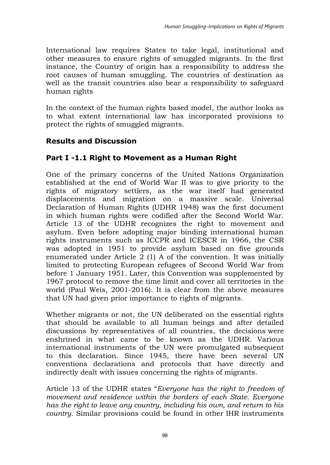International law requires States to take legal, institutional and other measures to ensure rights of smuggled migrants. In the first instance, the Country of origin has a responsibility to address the root causes of human smuggling. The countries of destination as well as the transit countries also bear a responsibility to safeguard human rights

In the context of the human rights based model, the author looks as to what extent international law has incorporated provisions to protect the rights of smuggled migrants.

# **Results and Discussion**

# **Part I -1.1 Right to Movement as a Human Right**

One of the primary concerns of the United Nations Organization established at the end of World War II was to give priority to the rights of migratory settlers, as the war itself had generated displacements and migration on a massive scale. Universal Declaration of Human Rights (UDHR 1948) was the first document in which human rights were codified after the Second World War. Article 13 of the UDHR recognizes the right to movement and asylum. Even before adopting major binding international human rights instruments such as ICCPR and ICESCR in 1966, the CSR was adopted in 1951 to provide asylum based on five grounds enumerated under Article  $2(1)$  A of the convention. It was initially limited to protecting European refugees of Second World War from before 1 January 1951. Later, this Convention was supplemented by 1967 protocol to remove the time limit and cover all territories in the world (Paul Weis, 2001-2016). It is clear from the above measures that UN had given prior importance to rights of migrants.

Whether migrants or not, the UN deliberated on the essential rights that should be available to all human beings and after detailed discussions by representatives of all countries, the decisions were enshrined in what came to be known as the UDHR. Various international instruments of the UN were promulgated subsequent to this declaration. Since 1945, there have been several UN conventions declarations and protocols that have directly and indirectly dealt with issues concerning the rights of migrants.

Article 13 of the UDHR states "*Everyone has the right to freedom of movement and residence within the borders of each State. Everyone has the right to leave any country, including his own, and return to his country*. Similar provisions could be found in other IHR instruments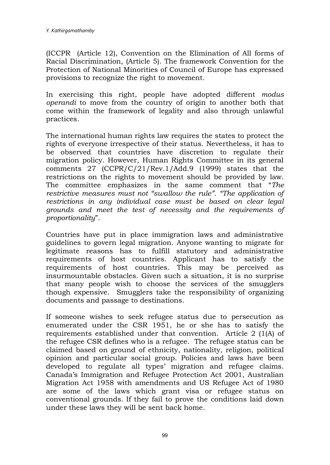(ICCPR (Article 12), Convention on the Elimination of All forms of Racial Discrimination, (Article 5). The framework Convention for the Protection of National Minorities of Council of Europe has expressed provisions to recognize the right to movement.

In exercising this right, people have adopted different *modus operandi* to move from the country of origin to another both that come within the framework of legality and also through unlawful practices.

The international human rights law requires the states to protect the rights of everyone irrespective of their status. Nevertheless, it has to be observed that countries have discretion to regulate their migration policy. However, Human Rights Committee in its general comments 27 (CCPR/C/21/Rev.1/Add.9 (1999) states that the restrictions on the rights to movement should be provided by law. The committee emphasizes in the same comment that "*The restrictive measures must not "swallow the rule". "The application of restrictions in any individual case must be based on clear legal grounds and meet the test of necessity and the requirements of proportionality*".

Countries have put in place immigration laws and administrative guidelines to govern legal migration. Anyone wanting to migrate for legitimate reasons has to fulfill statutory and administrative requirements of host countries. Applicant has to satisfy the requirements of host countries. This may be perceived as insurmountable obstacles. Given such a situation, it is no surprise that many people wish to choose the services of the smugglers though expensive. Smugglers take the responsibility of organizing documents and passage to destinations.

If someone wishes to seek refugee status due to persecution as enumerated under the CSR 1951, he or she has to satisfy the requirements established under that convention. Article 2 (1(A) of the refugee CSR defines who is a refugee. The refugee status can be claimed based on ground of ethnicity, nationality, religion, political opinion and particular social group. Policies and laws have been developed to regulate all types' migration and refugee claims. Canada"s Immigration and Refugee Protection Act 2001, Australian Migration Act 1958 with amendments and US Refugee Act of 1980 are some of the laws which grant visa or refugee status on conventional grounds. If they fail to prove the conditions laid down under these laws they will be sent back home.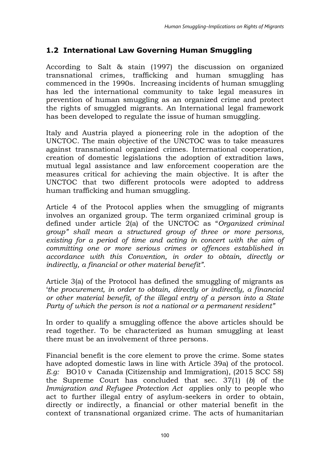# **1.2 International Law Governing Human Smuggling**

According to Salt & stain (1997) the discussion on organized transnational crimes, trafficking and human smuggling has commenced in the 1990s. Increasing incidents of human smuggling has led the international community to take legal measures in prevention of human smuggling as an organized crime and protect the rights of smuggled migrants. An International legal framework has been developed to regulate the issue of human smuggling.

Italy and Austria played a pioneering role in the adoption of the UNCTOC. The main objective of the UNCTOC was to take measures against transnational organized crimes. International cooperation, creation of domestic legislations the adoption of extradition laws, mutual legal assistance and law enforcement cooperation are the measures critical for achieving the main objective. It is after the UNCTOC that two different protocols were adopted to address human trafficking and human smuggling.

Article 4 of the Protocol applies when the smuggling of migrants involves an organized group. The term organized criminal group is defined under article 2(a) of the UNCTOC as "*Organized criminal group" shall mean a structured group of three or more persons, existing for a period of time and acting in concert with the aim of committing one or more serious crimes or offences established in accordance with this Convention, in order to obtain, directly or indirectly, a financial or other material benefit".*

Article 3(a) of the Protocol has defined the smuggling of migrants as "*the procurement, in order to obtain, directly or indirectly, a financial or other material benefit, of the illegal entry of a person into a State Party of which the person is not a national or a permanent resident"* 

In order to qualify a smuggling offence the above articles should be read together. To be characterized as human smuggling at least there must be an involvement of three persons.

Financial benefit is the core element to prove the crime*.* Some states have adopted domestic laws in line with Article 39a) of the protocol. *E.g:* BO10 v Canada (Citizenship and Immigration), (2015 SCC 58) the Supreme Court has concluded that sec. 37(1) (*b*) of the *Immigration and Refugee Protection Act a*pplies only to people who act to further illegal entry of asylum-seekers in order to obtain, directly or indirectly, a financial or other material benefit in the context of transnational organized crime. The acts of humanitarian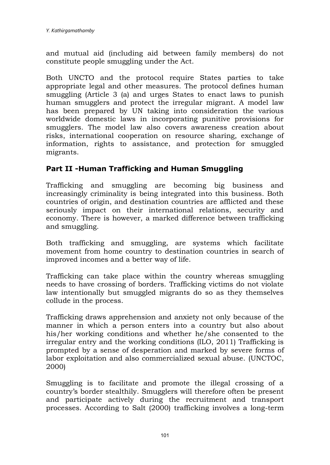and mutual aid (including aid between family members) do not constitute people smuggling under the Act.

Both UNCTO and the protocol require States parties to take appropriate legal and other measures. The protocol defines human smuggling (Article 3 (a) and urges States to enact laws to punish human smugglers and protect the irregular migrant. A model law has been prepared by UN taking into consideration the various worldwide domestic laws in incorporating punitive provisions for smugglers. The model law also covers awareness creation about risks, international cooperation on resource sharing, exchange of information, rights to assistance, and protection for smuggled migrants.

# **Part II -Human Trafficking and Human Smuggling**

Trafficking and smuggling are becoming big business and increasingly criminality is being integrated into this business. Both countries of origin, and destination countries are afflicted and these seriously impact on their international relations, security and economy. There is however, a marked difference between trafficking and smuggling.

Both trafficking and smuggling, are systems which facilitate movement from home country to destination countries in search of improved incomes and a better way of life.

Trafficking can take place within the country whereas smuggling needs to have crossing of borders. Trafficking victims do not violate law intentionally but smuggled migrants do so as they themselves collude in the process.

Trafficking draws apprehension and anxiety not only because of the manner in which a person enters into a country but also about his/her working conditions and whether he/she consented to the irregular entry and the working conditions (ILO, 2011) Trafficking is prompted by a sense of desperation and marked by severe forms of labor exploitation and also commercialized sexual abuse. (UNCTOC, 2000)

Smuggling is to facilitate and promote the illegal crossing of a country"s border stealthily. Smugglers will therefore often be present and participate actively during the recruitment and transport processes. According to Salt (2000) trafficking involves a long-term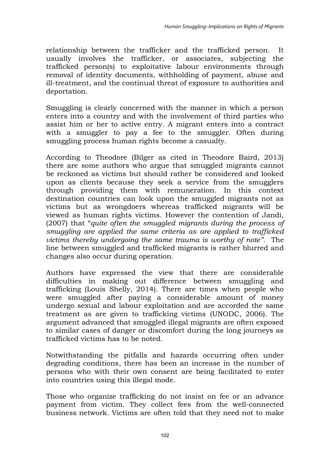relationship between the trafficker and the trafficked person. It usually involves the trafficker, or associates, subjecting the trafficked person(s) to exploitative labour environments through removal of identity documents, withholding of payment, abuse and ill-treatment, and the continual threat of exposure to authorities and deportation.

Smuggling is clearly concerned with the manner in which a person enters into a country and with the involvement of third parties who assist him or her to active entry. A migrant enters into a contract with a smuggler to pay a fee to the smuggler. Often during smuggling process human rights become a casualty.

According to Theodore (Bilger as cited in Theodore Baird, 2013) there are some authors who argue that smuggled migrants cannot be reckoned as victims but should rather be considered and looked upon as clients because they seek a service from the smugglers through providing them with remuneration. In this context destination countries can look upon the smuggled migrants not as victims but as wrongdoers whereas trafficked migrants will be viewed as human rights victims. However the contention of Jandi, (2007) that "*quite often the smuggled migrants during the process of smuggling are applied the same criteria as are applied to trafficked victims thereby undergoing the same trauma is worthy of note".* The line between smuggled and trafficked migrants is rather blurred and changes also occur during operation.

Authors have expressed the view that there are considerable difficulties in making out difference between smuggling and trafficking (Louis Shelly, 2014). There are times when people who were smuggled after paying a considerable amount of money undergo sexual and labour exploitation and are accorded the same treatment as are given to trafficking victims (UNODC, 2006). The argument advanced that smuggled illegal migrants are often exposed to similar cases of danger or discomfort during the long journeys as trafficked victims has to be noted.

Notwithstanding the pitfalls and hazards occurring often under degrading conditions, there has been an increase in the number of persons who with their own consent are being facilitated to enter into countries using this illegal mode.

Those who organize trafficking do not insist on fee or an advance payment from victim. They collect fees from the well-connected business network. Victims are often told that they need not to make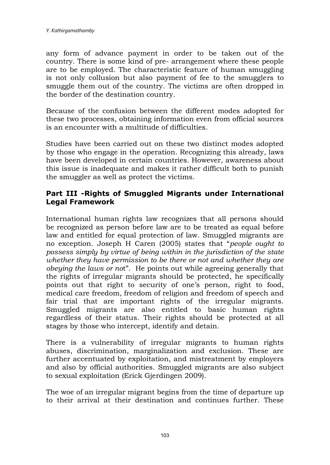any form of advance payment in order to be taken out of the country. There is some kind of pre- arrangement where these people are to be employed. The characteristic feature of human smuggling is not only collusion but also payment of fee to the smugglers to smuggle them out of the country. The victims are often dropped in the border of the destination country.

Because of the confusion between the different modes adopted for these two processes, obtaining information even from official sources is an encounter with a multitude of difficulties.

Studies have been carried out on these two distinct modes adopted by those who engage in the operation. Recognizing this already, laws have been developed in certain countries. However, awareness about this issue is inadequate and makes it rather difficult both to punish the smuggler as well as protect the victims.

### **Part III -Rights of Smuggled Migrants under International Legal Framework**

International human rights law recognizes that all persons should be recognized as person before law are to be treated as equal before law and entitled for equal protection of law. Smuggled migrants are no exception. Joseph H Caren (2005) states that "*people ought to possess simply by virtue of being within in the jurisdiction of the state whether they have permission to be there or not and whether they are obeying the laws or no*t". He points out while agreeing generally that the rights of irregular migrants should be protected, he specifically points out that right to security of one's person, right to food, medical care freedom, freedom of religion and freedom of speech and fair trial that are important rights of the irregular migrants. Smuggled migrants are also entitled to basic human rights regardless of their status. Their rights should be protected at all stages by those who intercept, identify and detain.

There is a vulnerability of irregular migrants to human rights abuses, discrimination, marginalization and exclusion. These are further accentuated by exploitation, and mistreatment by employers and also by official authorities. Smuggled migrants are also subject to sexual exploitation (Erick Gjerdingen 2009).

The woe of an irregular migrant begins from the time of departure up to their arrival at their destination and continues further. These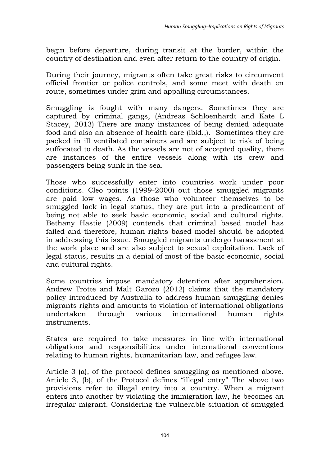begin before departure, during transit at the border, within the country of destination and even after return to the country of origin.

During their journey, migrants often take great risks to circumvent official frontier or police controls, and some meet with death en route, sometimes under grim and appalling circumstances.

Smuggling is fought with many dangers. Sometimes they are captured by criminal gangs, (Andreas Schloenhardt and Kate L Stacey, 2013) There are many instances of being denied adequate food and also an absence of health care (ibid.,). Sometimes they are packed in ill ventilated containers and are subject to risk of being suffocated to death. As the vessels are not of accepted quality, there are instances of the entire vessels along with its crew and passengers being sunk in the sea.

Those who successfully enter into countries work under poor conditions. Cleo points (1999-2000) out those smuggled migrants are paid low wages. As those who volunteer themselves to be smuggled lack in legal status, they are put into a predicament of being not able to seek basic economic, social and cultural rights. Bethany Hastie (2009) contends that criminal based model has failed and therefore, human rights based model should be adopted in addressing this issue. Smuggled migrants undergo harassment at the work place and are also subject to sexual exploitation. Lack of legal status, results in a denial of most of the basic economic, social and cultural rights.

Some countries impose mandatory detention after apprehension. Andrew Trotte and Malt Garozo (2012) claims that the mandatory policy introduced by Australia to address human smuggling denies migrants rights and amounts to violation of international obligations undertaken through various international human rights instruments.

States are required to take measures in line with international obligations and responsibilities under international conventions relating to human rights, humanitarian law, and refugee law.

Article 3 (a), of the protocol defines smuggling as mentioned above. Article 3, (b), of the Protocol defines "illegal entry" The above two provisions refer to illegal entry into a country. When a migrant enters into another by violating the immigration law, he becomes an irregular migrant. Considering the vulnerable situation of smuggled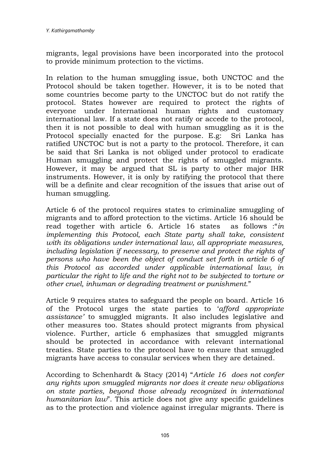migrants, legal provisions have been incorporated into the protocol to provide minimum protection to the victims.

In relation to the human smuggling issue, both UNCTOC and the Protocol should be taken together. However, it is to be noted that some countries become party to the UNCTOC but do not ratify the protocol. States however are required to protect the rights of everyone under International human rights and customary international law. If a state does not ratify or accede to the protocol, then it is not possible to deal with human smuggling as it is the Protocol specially enacted for the purpose. E.g: Sri Lanka has ratified UNCTOC but is not a party to the protocol. Therefore, it can be said that Sri Lanka is not obliged under protocol to eradicate Human smuggling and protect the rights of smuggled migrants. However, it may be argued that SL is party to other major IHR instruments. However, it is only by ratifying the protocol that there will be a definite and clear recognition of the issues that arise out of human smuggling.

Article 6 of the protocol requires states to criminalize smuggling of migrants and to afford protection to the victims. Article 16 should be read together with article 6. Article 16 states as follows :"*in implementing this Protocol, each State party shall take, consistent with its obligations under international law, all appropriate measures, including legislation if necessary, to preserve and protect the rights of persons who have been the object of conduct set forth in article 6 of this Protocol as accorded under applicable international law, in particular the right to life and the right not to be subjected to torture or other cruel, inhuman or degrading treatment or punishment.*"

Article 9 requires states to safeguard the people on board. Article 16 of the Protocol urges the state parties to "*afford appropriate assistance"* to smuggled migrants. It also includes legislative and other measures too. States should protect migrants from physical violence. Further, article 6 emphasizes that smuggled migrants should be protected in accordance with relevant international treaties. State parties to the protocol have to ensure that smuggled migrants have access to consular services when they are detained.

According to Schenhardt & Stacy (2014) "*Article 16 does not confer any rights upon smuggled migrants nor does it create new obligations on state parties, beyond those already recognized in international humanitarian law*". This article does not give any specific guidelines as to the protection and violence against irregular migrants. There is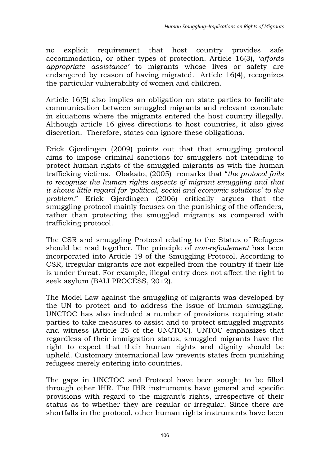no explicit requirement that host country provides safe accommodation, or other types of protection. Article 16(3), "*affords appropriate assistance"* to migrants whose lives or safety are endangered by reason of having migrated. Article 16(4), recognizes the particular vulnerability of women and children.

Article 16(5) also implies an obligation on state parties to facilitate communication between smuggled migrants and relevant consulate in situations where the migrants entered the host country illegally. Although article 16 gives directions to host countries, it also gives discretion. Therefore, states can ignore these obligations.

Erick Gjerdingen (2009) points out that that smuggling protocol aims to impose criminal sanctions for smugglers not intending to protect human rights of the smuggled migrants as with the human trafficking victims. Obakato, (2005) remarks that "*the protocol fails to recognize the human rights aspects of migrant smuggling and that it shows little regard for "political, social and economic solutions" to the problem*." Erick Gjerdingen (2006) critically argues that the smuggling protocol mainly focuses on the punishing of the offenders, rather than protecting the smuggled migrants as compared with trafficking protocol.

The CSR and smuggling Protocol relating to the Status of Refugees should be read together. The principle of *non-refoulement* has been incorporated into Article 19 of the Smuggling Protocol. According to CSR, irregular migrants are not expelled from the country if their life is under threat. For example, illegal entry does not affect the right to seek asylum (BALI PROCESS, 2012).

The Model Law against the smuggling of migrants was developed by the UN to protect and to address the issue of human smuggling. UNCTOC has also included a number of provisions requiring state parties to take measures to assist and to protect smuggled migrants and witness (Article 25 of the UNCTOC). UNTOC emphasizes that regardless of their immigration status, smuggled migrants have the right to expect that their human rights and dignity should be upheld. Customary international law prevents states from punishing refugees merely entering into countries.

The gaps in UNCTOC and Protocol have been sought to be filled through other IHR. The IHR instruments have general and specific provisions with regard to the migrant"s rights, irrespective of their status as to whether they are regular or irregular. Since there are shortfalls in the protocol, other human rights instruments have been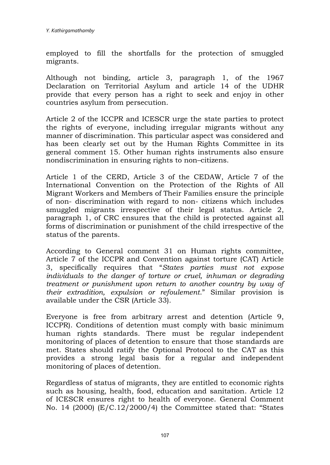employed to fill the shortfalls for the protection of smuggled migrants.

Although not binding, article 3, paragraph 1, of the 1967 Declaration on Territorial Asylum and article 14 of the UDHR provide that every person has a right to seek and enjoy in other countries asylum from persecution.

Article 2 of the ICCPR and ICESCR urge the state parties to protect the rights of everyone, including irregular migrants without any manner of discrimination. This particular aspect was considered and has been clearly set out by the Human Rights Committee in its general comment 15. Other human rights instruments also ensure nondiscrimination in ensuring rights to non–citizens.

Article 1 of the CERD, Article 3 of the CEDAW, Article 7 of the International Convention on the Protection of the Rights of All Migrant Workers and Members of Their Families ensure the principle of non- discrimination with regard to non- citizens which includes smuggled migrants irrespective of their legal status. Article 2, paragraph 1, of CRC ensures that the child is protected against all forms of discrimination or punishment of the child irrespective of the status of the parents.

According to General comment 31 on Human rights committee, Article 7 of the ICCPR and Convention against torture (CAT) Article 3, specifically requires that "*States parties must not expose individuals to the danger of torture or cruel, inhuman or degrading treatment or punishment upon return to another country by way of their extradition, expulsion or refoulement*." Similar provision is available under the CSR (Article 33).

Everyone is free from arbitrary arrest and detention (Article 9, ICCPR). Conditions of detention must comply with basic minimum human rights standards. There must be regular independent monitoring of places of detention to ensure that those standards are met. States should ratify the Optional Protocol to the CAT as this provides a strong legal basis for a regular and independent monitoring of places of detention.

Regardless of status of migrants, they are entitled to economic rights such as housing, health, food, education and sanitation. Article 12 of ICESCR ensures right to health of everyone. General Comment No. 14 (2000) (E/C.12/2000/4) the Committee stated that: "States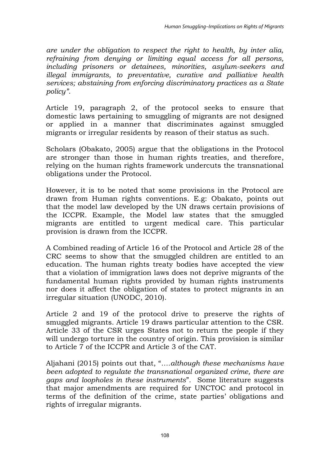*are under the obligation to respect the right to health, by inter alia, refraining from denying or limiting equal access for all persons, including prisoners or detainees, minorities, asylum-seekers and illegal immigrants, to preventative, curative and palliative health services; abstaining from enforcing discriminatory practices as a State policy"*.

Article 19, paragraph 2, of the protocol seeks to ensure that domestic laws pertaining to smuggling of migrants are not designed or applied in a manner that discriminates against smuggled migrants or irregular residents by reason of their status as such.

Scholars (Obakato, 2005) argue that the obligations in the Protocol are stronger than those in human rights treaties, and therefore, relying on the human rights framework undercuts the transnational obligations under the Protocol.

However, it is to be noted that some provisions in the Protocol are drawn from Human rights conventions. E.g: Obakato, points out that the model law developed by the UN draws certain provisions of the ICCPR. Example, the Model law states that the smuggled migrants are entitled to urgent medical care. This particular provision is drawn from the ICCPR.

A Combined reading of Article 16 of the Protocol and Article 28 of the CRC seems to show that the smuggled children are entitled to an education. The human rights treaty bodies have accepted the view that a violation of immigration laws does not deprive migrants of the fundamental human rights provided by human rights instruments nor does it affect the obligation of states to protect migrants in an irregular situation (UNODC, 2010).

Article 2 and 19 of the protocol drive to preserve the rights of smuggled migrants. Article 19 draws particular attention to the CSR. Article 33 of the CSR urges States not to return the people if they will undergo torture in the country of origin. This provision is similar to Article 7 of the ICCPR and Article 3 of the CAT.

Aljahani (2015) points out that, "*….although these mechanisms have been adopted to regulate the transnational organized crime, there are gaps and loopholes in these instruments*". Some literature suggests that major amendments are required for UNCTOC and protocol in terms of the definition of the crime, state parties" obligations and rights of irregular migrants.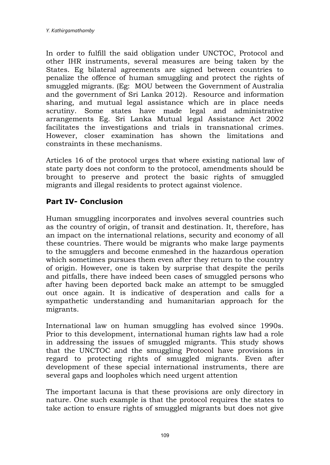In order to fulfill the said obligation under UNCTOC, Protocol and other IHR instruments, several measures are being taken by the States. Eg bilateral agreements are signed between countries to penalize the offence of human smuggling and protect the rights of smuggled migrants. (Eg: MOU between the Government of Australia and the government of Sri Lanka 2012). Resource and information sharing, and mutual legal assistance which are in place needs scrutiny. Some states have made legal and administrative arrangements Eg. Sri Lanka Mutual legal Assistance Act 2002 facilitates the investigations and trials in transnational crimes. However, closer examination has shown the limitations and constraints in these mechanisms.

Articles 16 of the protocol urges that where existing national law of state party does not conform to the protocol, amendments should be brought to preserve and protect the basic rights of smuggled migrants and illegal residents to protect against violence.

## **Part IV- Conclusion**

Human smuggling incorporates and involves several countries such as the country of origin, of transit and destination. It, therefore, has an impact on the international relations, security and economy of all these countries. There would be migrants who make large payments to the smugglers and become enmeshed in the hazardous operation which sometimes pursues them even after they return to the country of origin. However, one is taken by surprise that despite the perils and pitfalls, there have indeed been cases of smuggled persons who after having been deported back make an attempt to be smuggled out once again. It is indicative of desperation and calls for a sympathetic understanding and humanitarian approach for the migrants.

International law on human smuggling has evolved since 1990s. Prior to this development, international human rights law had a role in addressing the issues of smuggled migrants. This study shows that the UNCTOC and the smuggling Protocol have provisions in regard to protecting rights of smuggled migrants. Even after development of these special international instruments, there are several gaps and loopholes which need urgent attention

The important lacuna is that these provisions are only directory in nature. One such example is that the protocol requires the states to take action to ensure rights of smuggled migrants but does not give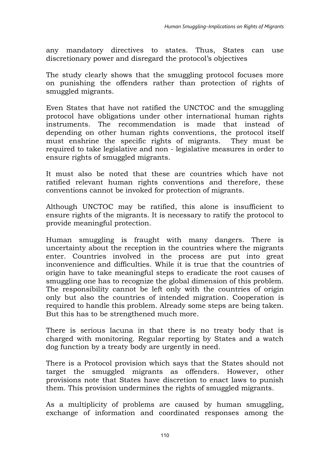any mandatory directives to states. Thus, States can use discretionary power and disregard the protocol"s objectives

The study clearly shows that the smuggling protocol focuses more on punishing the offenders rather than protection of rights of smuggled migrants.

Even States that have not ratified the UNCTOC and the smuggling protocol have obligations under other international human rights instruments. The recommendation is made that instead of depending on other human rights conventions, the protocol itself must enshrine the specific rights of migrants. They must be required to take legislative and non - legislative measures in order to ensure rights of smuggled migrants.

It must also be noted that these are countries which have not ratified relevant human rights conventions and therefore, these conventions cannot be invoked for protection of migrants.

Although UNCTOC may be ratified, this alone is insufficient to ensure rights of the migrants. It is necessary to ratify the protocol to provide meaningful protection.

Human smuggling is fraught with many dangers. There is uncertainty about the reception in the countries where the migrants enter. Countries involved in the process are put into great inconvenience and difficulties. While it is true that the countries of origin have to take meaningful steps to eradicate the root causes of smuggling one has to recognize the global dimension of this problem. The responsibility cannot be left only with the countries of origin only but also the countries of intended migration. Cooperation is required to handle this problem. Already some steps are being taken. But this has to be strengthened much more.

There is serious lacuna in that there is no treaty body that is charged with monitoring. Regular reporting by States and a watch dog function by a treaty body are urgently in need.

There is a Protocol provision which says that the States should not target the smuggled migrants as offenders. However, other provisions note that States have discretion to enact laws to punish them. This provision undermines the rights of smuggled migrants.

As a multiplicity of problems are caused by human smuggling, exchange of information and coordinated responses among the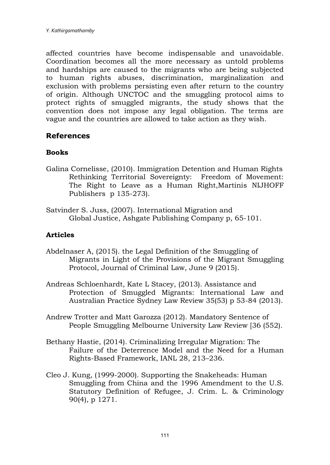affected countries have become indispensable and unavoidable. Coordination becomes all the more necessary as untold problems and hardships are caused to the migrants who are being subjected to human rights abuses, discrimination, marginalization and exclusion with problems persisting even after return to the country of origin. Although UNCTOC and the smuggling protocol aims to protect rights of smuggled migrants, the study shows that the convention does not impose any legal obligation. The terms are vague and the countries are allowed to take action as they wish.

### **References**

#### **Books**

- Galina Cornelisse, (2010). Immigration Detention and Human Rights Rethinking Territorial Sovereignty: Freedom of Movement: The Right to Leave as a Human Right,Martinis NIJHOFF Publishers p 135-273).
- Satvinder S. Juss, (2007). International Migration and Global Justice, Ashgate Publishing Company p, 65-101.

#### **Articles**

- Abdelnaser A, (2015). the Legal Definition of the Smuggling of Migrants in Light of the Provisions of the Migrant Smuggling Protocol, Journal of Criminal Law, June 9 (2015).
- Andreas Schloenhardt, Kate L Stacey, (2013). Assistance and Protection of Smuggled Migrants: International Law and Australian Practice Sydney Law Review 35(53) p 53-84 (2013).
- Andrew Trotter and Matt Garozza (2012). Mandatory Sentence of People Smuggling Melbourne University Law Review [36 (552).
- Bethany Hastie, (2014). Criminalizing Irregular Migration: The Failure of the Deterrence Model and the Need for a Human Rights-Based Framework, IANL 28, 213–236.
- Cleo J. Kung, (1999-2000). Supporting the Snakeheads: Human Smuggling from China and the 1996 Amendment to the U.S. Statutory Definition of Refugee, J. Crim. L. & Criminology 90(4), p 1271.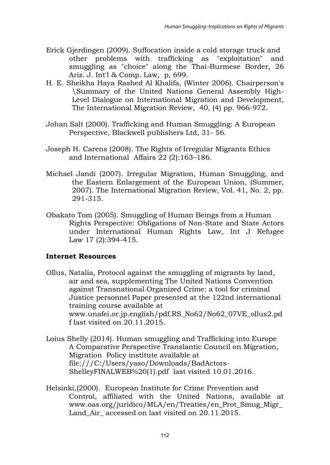- Erick Gjerdingen (2009). Suffocation inside a cold storage truck and other problems with trafficking as "exploitation" and smuggling as "choice" along the Thai-Burmese Border, 26 Ariz. J. Int'l & Comp. Law, p, 699.
- H. E. Sheikha Haya Rashed Al Khalifa, (Winter 2006). Chairperson's \Summary of the United Nations General Assembly High-Level Dialogue on International Migration and Development, The International Migration Review, 40, (4) pp. 966-972.
- Johan Salt (2000). Trafficking and Human Smuggling: A European Perspective, Blackwell publishers Ltd, 31- 56.
- Joseph H. Carens (2008). The Rights of Irregular Migrants Ethics and International Affairs 22 (2):163–186.
- Michael Jandi (2007). Irregular Migration, Human Smuggling, and the Eastern Enlargement of the European Union, (Summer, 2007). The International Migration Review, Vol. 41, No. 2, pp. 291-315.
- Obakato Tom (2005). Smuggling of Human Beings from a Human Rights Perspective: Obligations of Non-State and State Actors under International Human Rights Law, Int J Refugee Law 17 (2):394-415.

### **Internet Resources**

- Ollus, Natalia, Protocol against the smuggling of migrants by land, air and sea, supplementing The United Nations Convention against Transnational Organized Crime: a tool for criminal Justice personnel Paper presented at the 122nd international training course available at www.unafei.or.jp.english/pdf.RS\_No62/No62\_07VE\_ollus2.pd f last visited on 20.11.2015.
- Loius Shelly (2014). Human smuggling and Trafficking into Europe A Comparative Perspective Translantic Council on Migration, Migration Policy institute available at file:///C:/Users/yaso/Downloads/BadActors-ShelleyFINALWEB%20(1).pdf last visited 10.01.2016.
- Helsinki,(2000). European Institute for Crime Prevention and Control, affiliated with the United Nations, available at [www.oas.org/juridico/MLA/en/Treaties/en\\_Prot\\_Smug\\_Migr\\_](http://www.oas.org/juridico/MLA/en/Treaties/en_Prot_Smug_Migr_Land_Air_%20accessed%20on%20last%20visited%20on%2020.11.2015) Land Air accessed on last visited on 20.11.2015.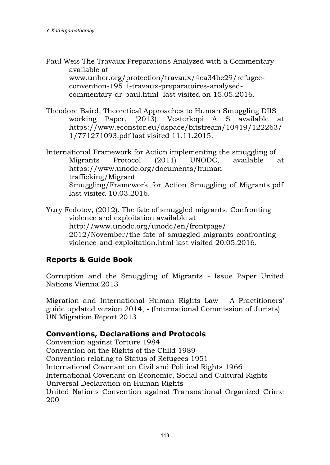- Paul Weis The Travaux Preparations Analyzed with a Commentary available at [www.unhcr.org/protection/travaux/4ca34be29/refugee](http://www.unhcr.org/protection/travaux/4ca34be29/refugee-convention-195)[convention-195](http://www.unhcr.org/protection/travaux/4ca34be29/refugee-convention-195) 1-travaux-preparatoires-analysedcommentary-dr-paul.html last visited on 15.05.2016.
- Theodore Baird, Theoretical Approaches to Human Smuggling DIIS working Paper, (2013). Vesterkopi A S available at [https://www.econstor.eu/dspace/bitstream/10419/122263/](https://www.econstor.eu/dspace/bitstream/10419/122263/1/771271093.pdf%20last%20visited%2011.11.2015) [1/771271093.pdf last visited 11.11.2015.](https://www.econstor.eu/dspace/bitstream/10419/122263/1/771271093.pdf%20last%20visited%2011.11.2015)
- International Framework for Action implementing the smuggling of Migrants Protocol (2011) UNODC, available at [https://www.unodc.org/documents/human](https://www.unodc.org/documents/human-trafficking/Migrant)[trafficking/Migrant](https://www.unodc.org/documents/human-trafficking/Migrant) Smuggling/Framework for Action Smuggling of Migrants.pdf last visited 10.03.2016.

Yury Fedotov, (2012). The fate of smuggled migrants: Confronting violence and exploitation available at [http://www.unodc.org/unodc/en/frontpage/](http://www.unodc.org/unodc/en/frontpage/2012/November/the-fate-of-smuggled-migrants-confronting-violence-and-exploitation.html%20last%20visted%2020.05.2016)  [2012/November/the-fate-of-smuggled-migrants-confronting](http://www.unodc.org/unodc/en/frontpage/2012/November/the-fate-of-smuggled-migrants-confronting-violence-and-exploitation.html%20last%20visted%2020.05.2016)[violence-and-exploitation.html last visited 20.05.2016.](http://www.unodc.org/unodc/en/frontpage/2012/November/the-fate-of-smuggled-migrants-confronting-violence-and-exploitation.html%20last%20visted%2020.05.2016)

### **Reports & Guide Book**

Corruption and the Smuggling of Migrants - Issue Paper United Nations Vienna 2013

Migration and International Human Rights Law – A Practitioners' guide updated version 2014, - (International Commission of Jurists) UN Migration Report 2013

### **Conventions, Declarations and Protocols**

Convention against Torture 1984 Convention on the Rights of the Child 1989 Convention relating to Status of Refugees 1951 International Covenant on Civil and Political Rights 1966 International Covenant on Economic, Social and Cultural Rights Universal Declaration on Human Rights United Nations Convention against Transnational Organized Crime 200